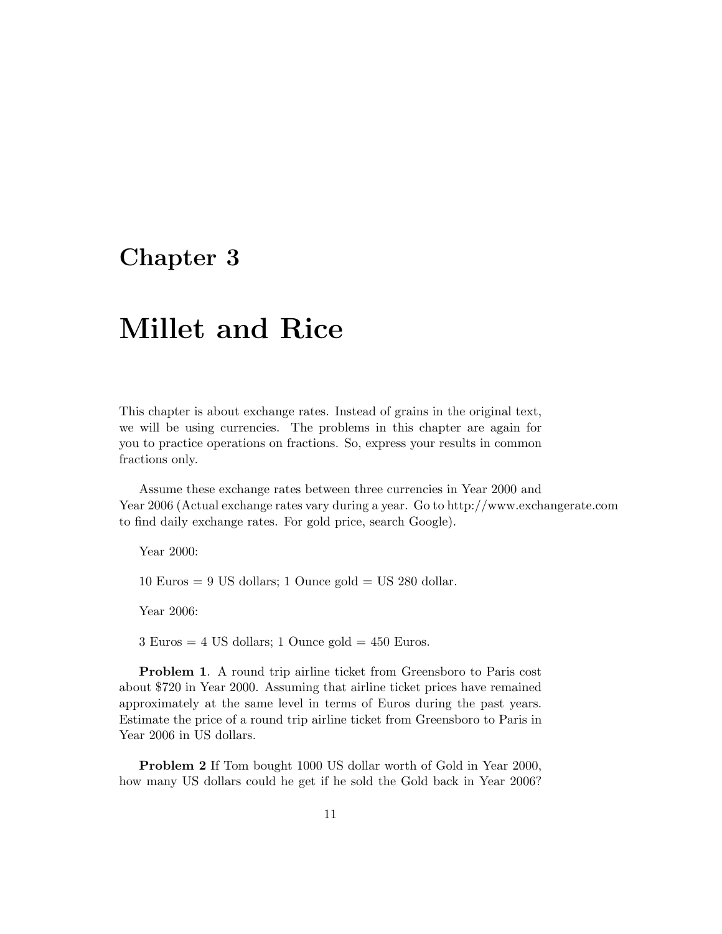### **Chapter 3**

## **Millet and Rice**

This chapter is about exchange rates. Instead of grains in the original text, we will be using currencies. The problems in this chapter are again for you to practice operations on fractions. So, express your results in common fractions only.

Assume these exchange rates between three currencies in Year 2000 and Year 2006 (Actual exchange rates vary during a year. Go to http://www.exchangerate.com to find daily exchange rates. For gold price, search Google).

Year 2000:

 $10 \text{ Euros} = 9 \text{ US dollars}; 1 \text{ Ounce gold} = \text{US } 280 \text{ dollar}.$ 

Year 2006:

 $3 \text{ Euros} = 4 \text{ US dollars}; 1 \text{ Ounce gold} = 450 \text{ Euros}.$ 

**Problem 1**. A round trip airline ticket from Greensboro to Paris cost about \$720 in Year 2000. Assuming that airline ticket prices have remained approximately at the same level in terms of Euros during the past years. Estimate the price of a round trip airline ticket from Greensboro to Paris in Year 2006 in US dollars.

**Problem 2** If Tom bought 1000 US dollar worth of Gold in Year 2000, how many US dollars could he get if he sold the Gold back in Year 2006?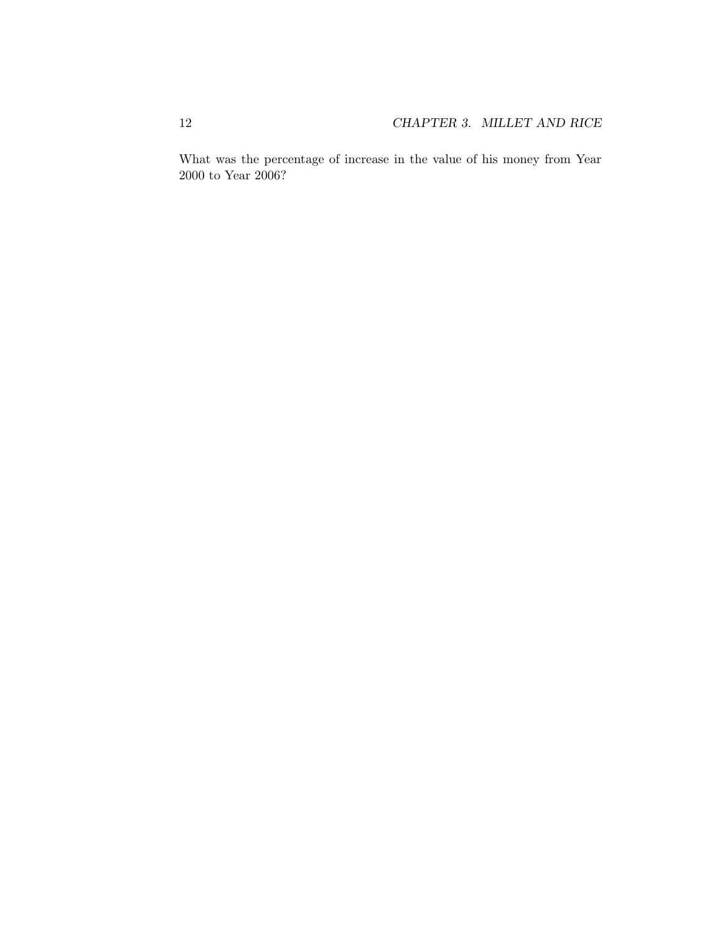What was the percentage of increase in the value of his money from Year 2000 to Year 2006?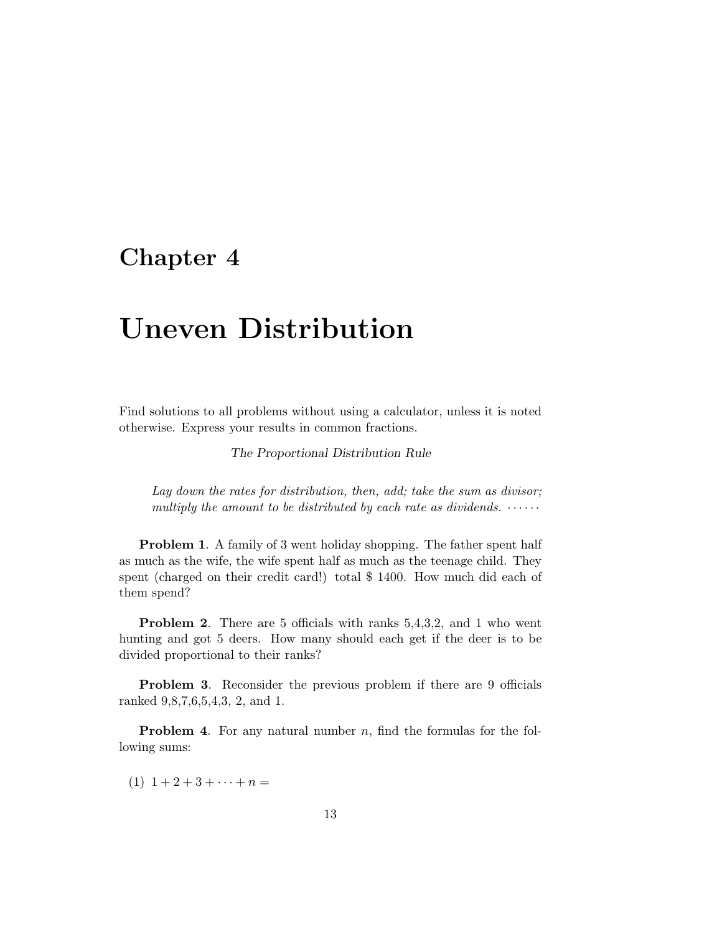## **Chapter 4**

# **Uneven Distribution**

Find solutions to all problems without using a calculator, unless it is noted otherwise. Express your results in common fractions.

The Proportional Distribution Rule

Lay down the rates for distribution, then, add; take the sum as divisor; multiply the amount to be distributed by each rate as dividends.  $\cdots$ 

**Problem 1.** A family of 3 went holiday shopping. The father spent half as much as the wife, the wife spent half as much as the teenage child. They spent (charged on their credit card!) total \$ 1400. How much did each of them spend?

**Problem 2.** There are 5 officials with ranks 5,4,3,2, and 1 who went hunting and got 5 deers. How many should each get if the deer is to be divided proportional to their ranks?

**Problem 3.** Reconsider the previous problem if there are 9 officials ranked 9,8,7,6,5,4,3, 2, and 1.

**Problem 4.** For any natural number n, find the formulas for the following sums:

 $(1)$  1 + 2 + 3 +  $\cdots$  + n =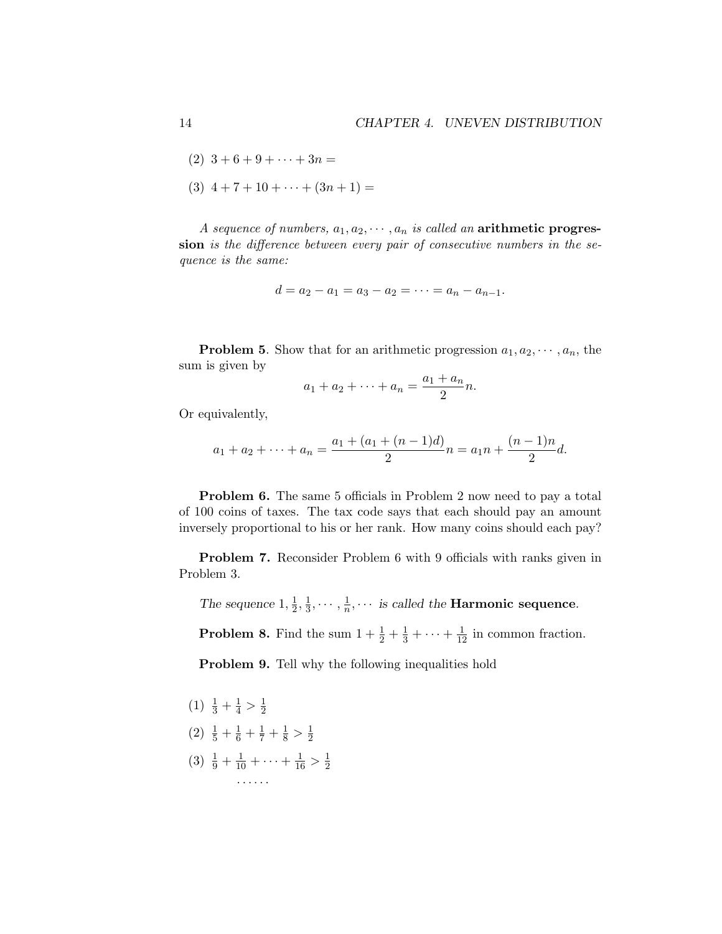- $(2)$  3 + 6 + 9 +  $\cdots$  + 3n =
- $(3)$  4 + 7 + 10 +  $\cdots$  +  $(3n + 1)$  =

A sequence of numbers,  $a_1, a_2, \cdots, a_n$  is called an **arithmetic progression** is the difference between every pair of consecutive numbers in the sequence is the same:

$$
d = a_2 - a_1 = a_3 - a_2 = \cdots = a_n - a_{n-1}.
$$

**Problem 5**. Show that for an arithmetic progression  $a_1, a_2, \dots, a_n$ , the sum is given by

$$
a_1 + a_2 + \dots + a_n = \frac{a_1 + a_n}{2}n.
$$

Or equivalently,

$$
a_1 + a_2 + \dots + a_n = \frac{a_1 + (a_1 + (n-1)d)}{2}n = a_1n + \frac{(n-1)n}{2}d.
$$

**Problem 6.** The same 5 officials in Problem 2 now need to pay a total of 100 coins of taxes. The tax code says that each should pay an amount inversely proportional to his or her rank. How many coins should each pay?

**Problem 7.** Reconsider Problem 6 with 9 officials with ranks given in Problem 3.

The sequence  $1, \frac{1}{2}, \frac{1}{3}, \cdots, \frac{1}{n}, \cdots$  is called the **Harmonic sequence**.

**Problem 8.** Find the sum  $1 + \frac{1}{2} + \frac{1}{3} + \cdots + \frac{1}{12}$  in common fraction.

**Problem 9.** Tell why the following inequalities hold

- $(1)$   $\frac{1}{3} + \frac{1}{4} > \frac{1}{2}$
- (2)  $\frac{1}{5} + \frac{1}{6} + \frac{1}{7} + \frac{1}{8} > \frac{1}{2}$
- (3)  $\frac{1}{9} + \frac{1}{10} + \cdots + \frac{1}{16} > \frac{1}{2}$ ······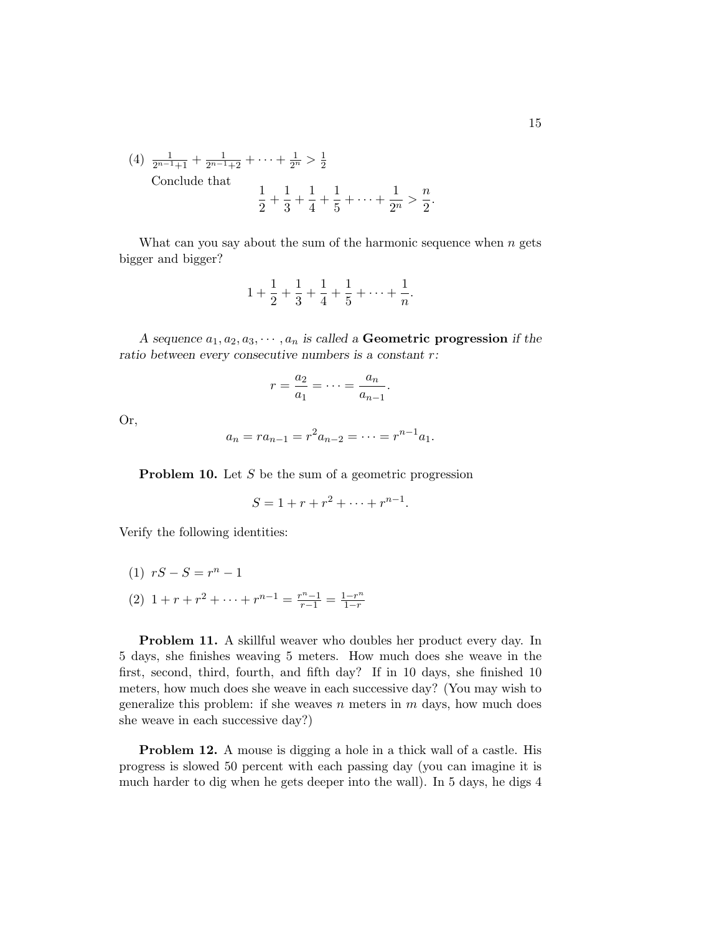(4) 
$$
\frac{1}{2^{n-1}+1} + \frac{1}{2^{n-1}+2} + \cdots + \frac{1}{2^n} > \frac{1}{2}
$$
  
Conclude that 
$$
\frac{1}{2} + \frac{1}{3} + \frac{1}{4} + \frac{1}{5} + \cdots + \frac{1}{2^n} >
$$

What can you say about the sum of the harmonic sequence when  $n$  gets bigger and bigger?

 $\boldsymbol{n}$ 2 .

$$
1 + \frac{1}{2} + \frac{1}{3} + \frac{1}{4} + \frac{1}{5} + \dots + \frac{1}{n}.
$$

A sequence  $a_1, a_2, a_3, \dots, a_n$  is called a **Geometric progression** if the ratio between every consecutive numbers is a constant r:

$$
r = \frac{a_2}{a_1} = \dots = \frac{a_n}{a_{n-1}}.
$$

Or,

$$
a_n = r a_{n-1} = r^2 a_{n-2} = \dots = r^{n-1} a_1.
$$

**Problem 10.** Let S be the sum of a geometric progression

$$
S = 1 + r + r^2 + \dots + r^{n-1}.
$$

Verify the following identities:

(1)  $rS - S = r^n - 1$ (2)  $1 + r + r^2 + \dots + r^{n-1} = \frac{r^n - 1}{r - 1} = \frac{1 - r^n}{1 - r}$ 

**Problem 11.** A skillful weaver who doubles her product every day. In 5 days, she finishes weaving 5 meters. How much does she weave in the first, second, third, fourth, and fifth day? If in 10 days, she finished 10 meters, how much does she weave in each successive day? (You may wish to generalize this problem: if she weaves n meters in  $m$  days, how much does she weave in each successive day?)

**Problem 12.** A mouse is digging a hole in a thick wall of a castle. His progress is slowed 50 percent with each passing day (you can imagine it is much harder to dig when he gets deeper into the wall). In 5 days, he digs 4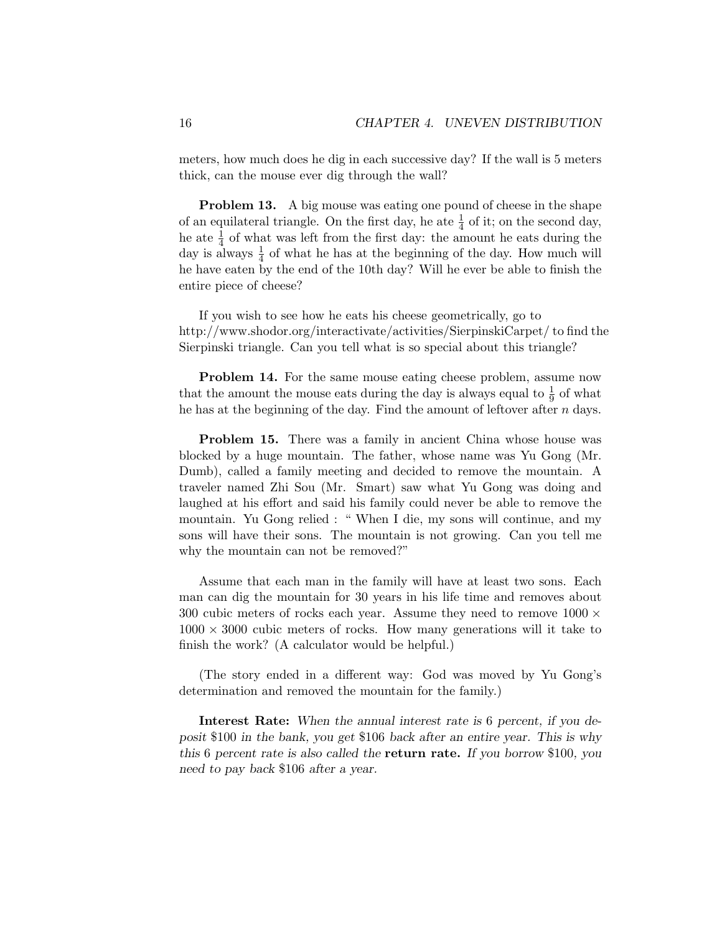meters, how much does he dig in each successive day? If the wall is 5 meters thick, can the mouse ever dig through the wall?

**Problem 13.** A big mouse was eating one pound of cheese in the shape of an equilateral triangle. On the first day, he ate  $\frac{1}{4}$  of it; on the second day, he ate  $\frac{1}{4}$  of what was left from the first day: the amount he eats during the day is always  $\frac{1}{4}$  of what he has at the beginning of the day. How much will he have eaten by the end of the 10th day? Will he ever be able to finish the entire piece of cheese?

If you wish to see how he eats his cheese geometrically, go to http://www.shodor.org/interactivate/activities/SierpinskiCarpet/ to find the Sierpinski triangle. Can you tell what is so special about this triangle?

**Problem 14.** For the same mouse eating cheese problem, assume now that the amount the mouse eats during the day is always equal to  $\frac{1}{9}$  of what he has at the beginning of the day. Find the amount of leftover after  $n$  days.

**Problem 15.** There was a family in ancient China whose house was blocked by a huge mountain. The father, whose name was Yu Gong (Mr. Dumb), called a family meeting and decided to remove the mountain. A traveler named Zhi Sou (Mr. Smart) saw what Yu Gong was doing and laughed at his effort and said his family could never be able to remove the mountain. Yu Gong relied : " When I die, my sons will continue, and my sons will have their sons. The mountain is not growing. Can you tell me why the mountain can not be removed?"

Assume that each man in the family will have at least two sons. Each man can dig the mountain for 30 years in his life time and removes about 300 cubic meters of rocks each year. Assume they need to remove  $1000 \times$  $1000 \times 3000$  cubic meters of rocks. How many generations will it take to finish the work? (A calculator would be helpful.)

(The story ended in a different way: God was moved by Yu Gong's determination and removed the mountain for the family.)

**Interest Rate:** When the annual interest rate is 6 percent, if you deposit \$100 in the bank, you get \$106 back after an entire year. This is why this 6 percent rate is also called the **return rate.** If you borrow \$100, you need to pay back \$106 after a year.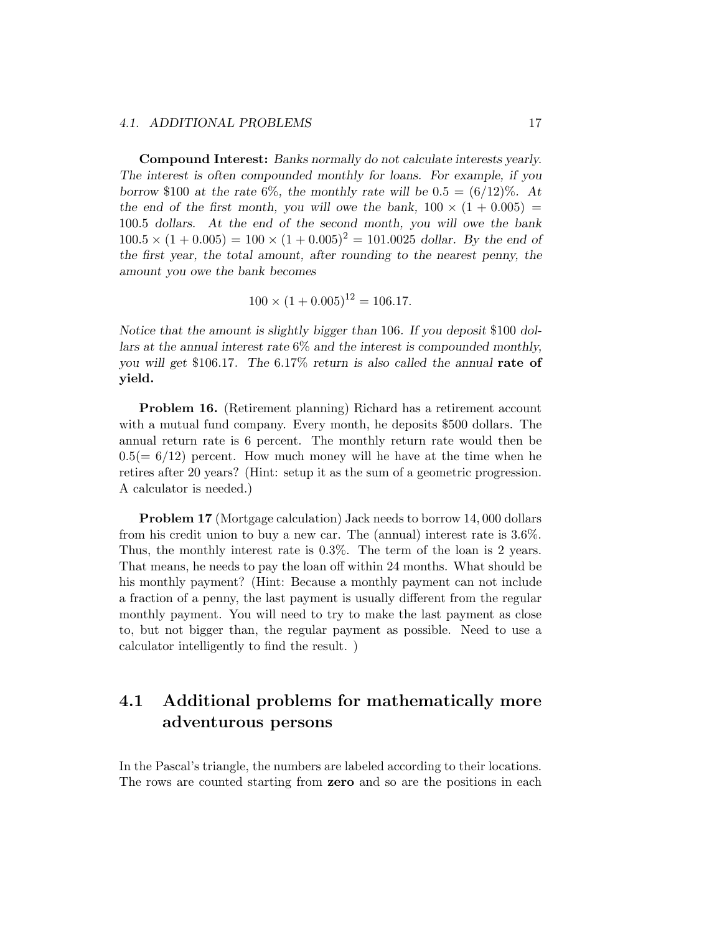#### 4.1. ADDITIONAL PROBLEMS 17

**Compound Interest:** Banks normally do not calculate interests yearly. The interest is often compounded monthly for loans. For example, if you borrow \$100 at the rate 6%, the monthly rate will be  $0.5 = (6/12)\%$ . At the end of the first month, you will owe the bank,  $100 \times (1 + 0.005)$ 100.5 dollars. At the end of the second month, you will owe the bank  $100.5 \times (1 + 0.005) = 100 \times (1 + 0.005)^2 = 101.0025$  dollar. By the end of the first year, the total amount, after rounding to the nearest penny, the amount you owe the bank becomes

$$
100 \times (1 + 0.005)^{12} = 106.17.
$$

Notice that the amount is slightly bigger than 106. If you deposit \$100 dollars at the annual interest rate  $6\%$  and the interest is compounded monthly, you will get \$106.17. The 6.17% return is also called the annual **rate of yield.**

**Problem 16.** (Retirement planning) Richard has a retirement account with a mutual fund company. Every month, he deposits \$500 dollars. The annual return rate is 6 percent. The monthly return rate would then be  $0.5(= 6/12)$  percent. How much money will he have at the time when he retires after 20 years? (Hint: setup it as the sum of a geometric progression. A calculator is needed.)

**Problem 17** (Mortgage calculation) Jack needs to borrow 14,000 dollars from his credit union to buy a new car. The (annual) interest rate is 3.6%. Thus, the monthly interest rate is 0.3%. The term of the loan is 2 years. That means, he needs to pay the loan off within 24 months. What should be his monthly payment? (Hint: Because a monthly payment can not include a fraction of a penny, the last payment is usually different from the regular monthly payment. You will need to try to make the last payment as close to, but not bigger than, the regular payment as possible. Need to use a calculator intelligently to find the result. )

#### **4.1 Additional problems for mathematically more adventurous persons**

In the Pascal's triangle, the numbers are labeled according to their locations. The rows are counted starting from **zero** and so are the positions in each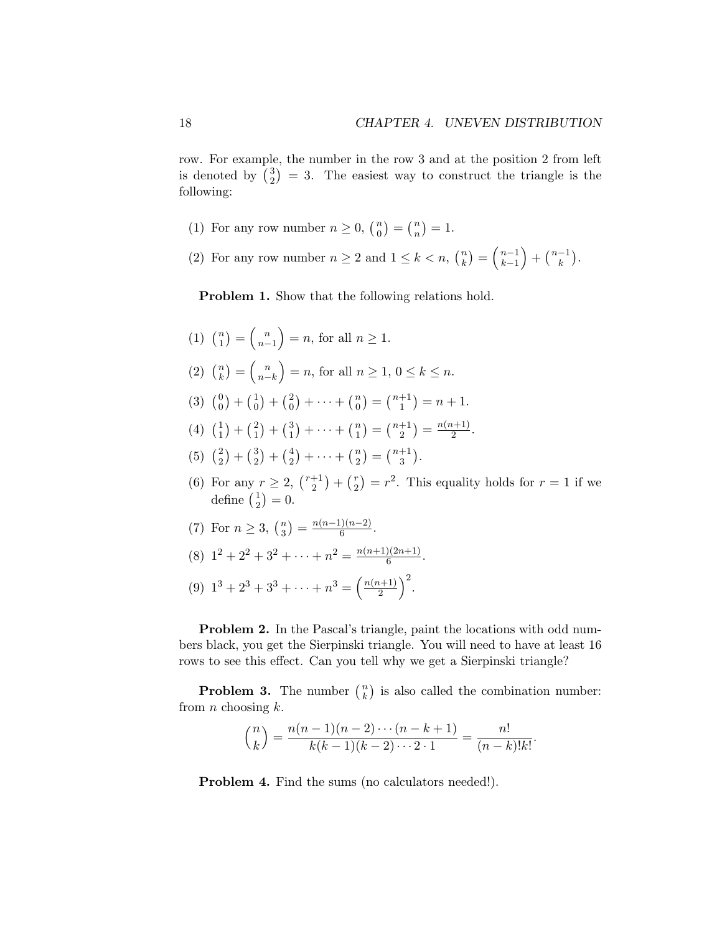row. For example, the number in the row 3 and at the position 2 from left is denoted by  $\binom{3}{2}$  $2<sup>3</sup>$ ) = 3. The easiest way to construct the triangle is the following:

- (1) For any row number  $n \geq 0$ ,  $\binom{n}{0}$  $\binom{n}{0} = \binom{n}{n}$  $\binom{n}{n} = 1.$
- (2) For any row number  $n \geq 2$  and  $1 \leq k < n$ ,  $\binom{n}{k}$  $\binom{n}{k} = \binom{n-1}{k-1}$  $k-1$  $\Big) + \big(\tfrac{n-1}{k}\big).$

**Problem 1.** Show that the following relations hold.

- $(1)$   $\binom{n}{1}$  $\binom{n}{1} = \binom{n}{n-1}$  $n-1$  $= n$ , for all  $n \geq 1$ .
- $(2)$   $\binom{n}{k}$  $\binom{n}{k} = \binom{n}{n-1}$  $n-k$  $= n$ , for all  $n \geq 1, 0 \leq k \leq n$ .
- $(3)$   $\binom{0}{0}$  $\binom{0}{0} + \binom{1}{0}$  $\binom{1}{0} + \binom{2}{0}$  $\binom{2}{0} + \cdots + \binom{n}{0}$  $\binom{n}{0} = \binom{n+1}{1}$  $\binom{+1}{1}$  = n + 1.
- $(4)$   $\binom{1}{1}$  $\binom{1}{1} + \binom{2}{1}$  $\binom{2}{1} + \binom{3}{1}$  $\binom{3}{1} + \cdots + \binom{n}{1}$  $\binom{n}{1} = \binom{n+1}{2}$  $\binom{+1}{2} = \frac{n(n+1)}{2}.$
- $(5)$   $\binom{2}{3}$  $\binom{2}{2} + \binom{3}{2}$  $\binom{3}{2} + \binom{4}{2}$  $\binom{4}{2} + \cdots + \binom{n}{2}$  $\binom{n}{2} = \binom{n+1}{3}$  $_{3}^{+1}$ ).
- (6) For any  $r \geq 2$ ,  $\binom{r+1}{2}$  $\binom{+1}{2} + \binom{r}{2}$  $\binom{r}{2} = r^2$ . This equality holds for  $r = 1$  if we define  $\binom{1}{2}$  $_{2}^{1})=0.$
- (7) For  $n \ge 3$ ,  $\binom{n}{3}$  ${n \choose 3} = \frac{n(n-1)(n-2)}{6}.$
- (8)  $1^2 + 2^2 + 3^2 + \cdots + n^2 = \frac{n(n+1)(2n+1)}{6}$ .
- (9)  $1^3 + 2^3 + 3^3 + \cdots + n^3 = \left(\frac{n(n+1)}{2}\right)^2$ .

**Problem 2.** In the Pascal's triangle, paint the locations with odd numbers black, you get the Sierpinski triangle. You will need to have at least 16 rows to see this effect. Can you tell why we get a Sierpinski triangle?

**Problem 3.** The number  $\binom{n}{k}$  $\binom{n}{k}$  is also called the combination number: from  $n$  choosing  $k$ .

$$
\binom{n}{k} = \frac{n(n-1)(n-2)\cdots(n-k+1)}{k(k-1)(k-2)\cdots 2\cdot 1} = \frac{n!}{(n-k)!k!}.
$$

**Problem 4.** Find the sums (no calculators needed!).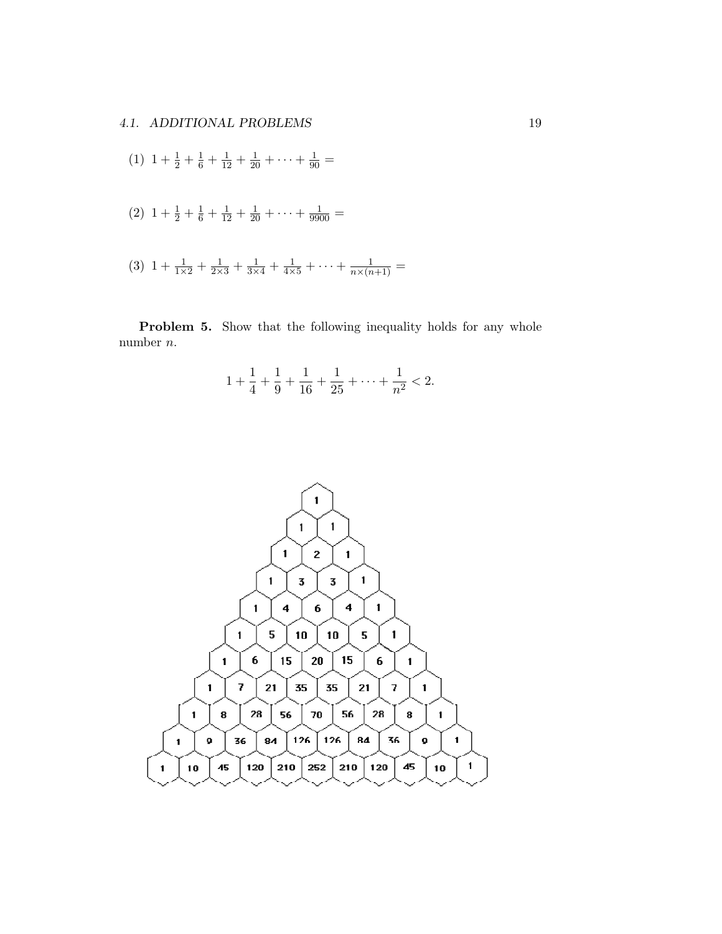(1) 
$$
1 + \frac{1}{2} + \frac{1}{6} + \frac{1}{12} + \frac{1}{20} + \dots + \frac{1}{90} =
$$
  
\n(2)  $1 + \frac{1}{2} + \frac{1}{6} + \frac{1}{12} + \frac{1}{20} + \dots + \frac{1}{9900} =$   
\n(3)  $1 + \frac{1}{1 \times 2} + \frac{1}{2 \times 3} + \frac{1}{3 \times 4} + \frac{1}{4 \times 5} + \dots + \frac{1}{n \times (n+1)} =$ 

**Problem 5.** Show that the following inequality holds for any whole number n.

$$
1 + \frac{1}{4} + \frac{1}{9} + \frac{1}{16} + \frac{1}{25} + \dots + \frac{1}{n^2} < 2.
$$